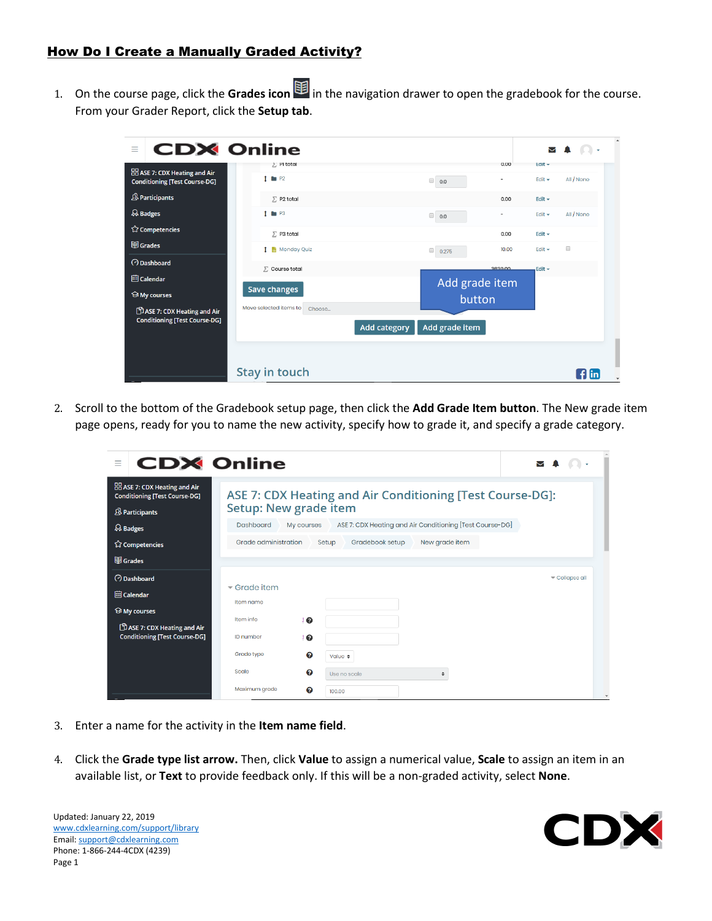## How Do I Create a Manually Graded Activity?

1. On the course page, click the Grades icon  $\bigcirc$  in the navigation drawer to open the gradebook for the course. From your Grader Report, click the **Setup tab**.

| <b>CDX</b> Online<br>Ξ                                                       |                                  |                                           | $\Box$<br>$\sim$                    |
|------------------------------------------------------------------------------|----------------------------------|-------------------------------------------|-------------------------------------|
|                                                                              | 2 Pi total                       | 0.00                                      | $E$ dit $\rightarrow$               |
| <b>BB</b> ASE 7: CDX Heating and Air<br><b>Conditioning [Test Course-DG]</b> | $1 \bullet P2$                   | $\Box$<br>$\overline{\phantom{a}}$<br>0.0 | All / None<br>Edit $\sim$           |
| <b>&amp; Participants</b>                                                    | $\Sigma$ P2 total                | 0.00                                      | Edit $\sim$                         |
| $\mathcal{Q}_s$ Badges                                                       | $1 \bullet P3$                   | $\Box$<br>0.0                             | All / None<br>Edit $\sim$           |
| <b>公 Competencies</b>                                                        | $\Sigma$ P3 total                | 0.00                                      | Edit $\sim$                         |
| <b>图</b> Grades                                                              | 1 Monday Quiz                    | 10.00<br>$\qquad \qquad \Box$<br>0.275    | $\qquad \qquad \Box$<br>Edit $\sim$ |
| <b>O</b> Dashboard                                                           | $\Sigma$ Course total            | 3630.00                                   | Edit -                              |
| <b>iii</b> Calendar                                                          |                                  | Add grade item                            |                                     |
| <b>My courses</b>                                                            | <b>Save changes</b>              | button                                    |                                     |
| ASE 7: CDX Heating and Air                                                   | Move selected items to<br>Choose |                                           |                                     |
| <b>Conditioning [Test Course-DG]</b>                                         |                                  | Add grade item<br><b>Add category</b>     |                                     |
|                                                                              |                                  |                                           |                                     |
|                                                                              |                                  |                                           |                                     |
|                                                                              | Stay in touch                    |                                           | flin                                |

2. Scroll to the bottom of the Gradebook setup page, then click the **Add Grade Item button**. The New grade item page opens, ready for you to name the new activity, specify how to grade it, and specify a grade category.

| <b>CDX Online</b><br>$\equiv$                                                |                                                           |                                                                        |                 |                |  |              |
|------------------------------------------------------------------------------|-----------------------------------------------------------|------------------------------------------------------------------------|-----------------|----------------|--|--------------|
| <b>BB</b> ASE 7: CDX Heating and Air<br><b>Conditioning [Test Course-DG]</b> | ASE 7: CDX Heating and Air Conditioning [Test Course-DG]: |                                                                        |                 |                |  |              |
| <b>&amp; Participants</b>                                                    | Setup: New grade item                                     |                                                                        |                 |                |  |              |
| & Badges                                                                     | <b>Dashboard</b>                                          | ASE 7: CDX Heating and Air Conditioning [Test Course-DG]<br>My courses |                 |                |  |              |
| <b>☆ Competencies</b>                                                        | Grade administration                                      | Setup                                                                  | Gradebook setup | New grade item |  |              |
| 围 Grades                                                                     |                                                           |                                                                        |                 |                |  |              |
| <b>O</b> Dashboard                                                           |                                                           |                                                                        |                 |                |  | Collapse all |
| <b>iii</b> Calendar                                                          | $\blacktriangleright$ Grade item                          |                                                                        |                 |                |  |              |
|                                                                              | Item name                                                 |                                                                        |                 |                |  |              |
| <b><sup>⊙</sup>My courses</b>                                                | Item info                                                 | ℯ                                                                      |                 |                |  |              |
| ASE 7: CDX Heating and Air<br><b>Conditioning [Test Course-DG]</b>           | <b>ID</b> number                                          | ℯ                                                                      |                 |                |  |              |
|                                                                              | Grade type                                                | ℯ                                                                      | Value $\div$    |                |  |              |
|                                                                              | Scale                                                     | ℯ                                                                      | Use no scale    | ÷              |  |              |
|                                                                              | Maximum grade                                             | ℯ<br>100.00                                                            |                 |                |  |              |

- 3. Enter a name for the activity in the **Item name field**.
- 4. Click the **Grade type list arrow.** Then, click **Value** to assign a numerical value, **Scale** to assign an item in an available list, or **Text** to provide feedback only. If this will be a non-graded activity, select **None**.

Updated: January 22, 2019 [www.cdxlearning.com/support/library](http://www.cdxlearning.com/support/library) Email[: support@cdxlearning.com](mailto:support@cdxlearning.com) Phone: 1-866-244-4CDX (4239) Page 1

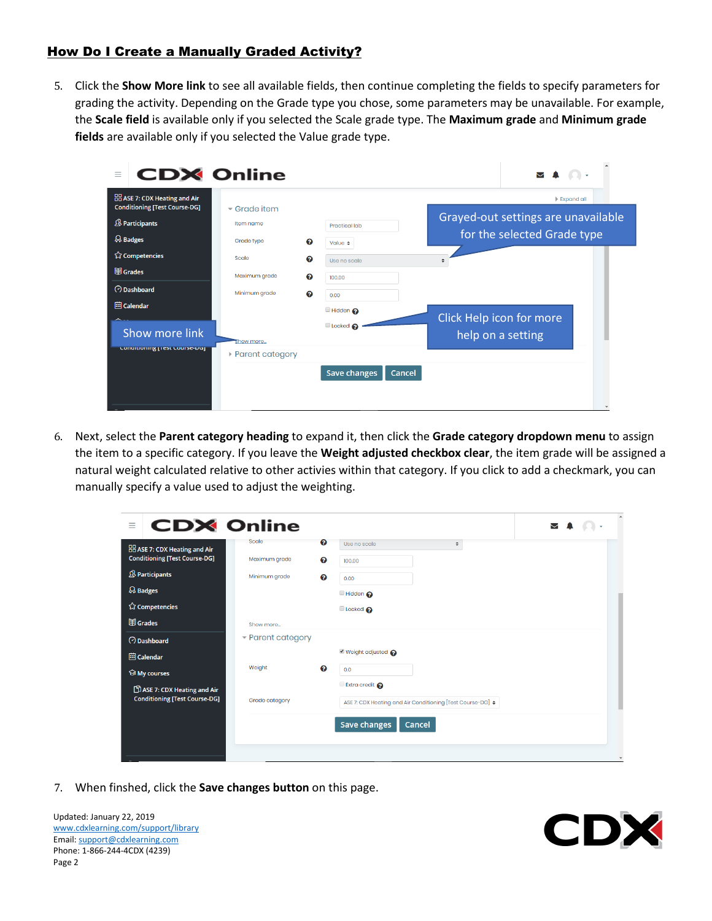## How Do I Create a Manually Graded Activity?

5. Click the **Show More link** to see all available fields, then continue completing the fields to specify parameters for grading the activity. Depending on the Grade type you chose, some parameters may be unavailable. For example, the **Scale field** is available only if you selected the Scale grade type. The **Maximum grade** and **Minimum grade fields** are available only if you selected the Value grade type.

| <b>CDX Online</b><br>$\equiv$                                                |                                     |                                  |                                                                    |
|------------------------------------------------------------------------------|-------------------------------------|----------------------------------|--------------------------------------------------------------------|
| <b>BB</b> ASE 7: CDX Heating and Air<br><b>Conditioning [Test Course-DG]</b> | $\overline{\phantom{a}}$ Grade item |                                  | $\triangleright$ Expand all                                        |
| <b>&amp; Participants</b>                                                    | Item name                           | <b>Practical lab</b>             | Grayed-out settings are unavailable<br>for the selected Grade type |
| $\mathcal{R}$ Badges<br>☆ Competencies                                       | Grade type<br>ଵ<br>Scale<br>ଵ       | Value $\div$<br>Use no scale     |                                                                    |
| 围 Grades                                                                     | Maximum grade<br>ଵ                  | 100.00                           |                                                                    |
| <b>O</b> Dashboard                                                           | Minimum grade<br>ଵ                  | 0.00                             |                                                                    |
| <b>iiil</b> Calendar<br>Show more link                                       | Show more                           | <b>Hidden</b><br>Locked <b>@</b> | Click Help icon for more<br>help on a setting                      |
| Conditioning [Test Course-Duj                                                | ▶ Parent category                   |                                  |                                                                    |
|                                                                              |                                     | <b>Save changes</b><br>Cancel    |                                                                    |

6. Next, select the **Parent category heading** to expand it, then click the **Grade category dropdown menu** to assign the item to a specific category. If you leave the **Weight adjusted checkbox clear**, the item grade will be assigned a natural weight calculated relative to other activies within that category. If you click to add a checkmark, you can manually specify a value used to adjust the weighting.

| <b>CDX Online</b><br>Ξ                                                       |                               |        |                                                                 | $\sim$ |   |
|------------------------------------------------------------------------------|-------------------------------|--------|-----------------------------------------------------------------|--------|---|
| <b>BB</b> ASE 7: CDX Heating and Air<br><b>Conditioning [Test Course-DG]</b> | <b>Scale</b><br>Maximum grade | ❸<br>ℯ | Use no scale<br>÷<br>100.00                                     |        |   |
| & Participants                                                               | Minimum grade                 | ℯ      | 0.00                                                            |        |   |
| & Badges                                                                     |                               |        | <b>Hidden</b>                                                   |        |   |
| ☆ Competencies                                                               |                               |        | Locked <b>O</b>                                                 |        |   |
| <b>围</b> Grades                                                              | Show more                     |        |                                                                 |        |   |
| <b>O</b> Dashboard                                                           | - Parent category             |        |                                                                 |        |   |
| <b>iiil</b> Calendar                                                         |                               |        | ■ Weight adjusted ●                                             |        |   |
| <b><sup>⊙</sup> My courses</b>                                               | Weight                        | ଵ      | 0.0                                                             |        |   |
| ASE 7: CDX Heating and Air                                                   |                               |        | <b>Extra credit</b>                                             |        |   |
| <b>Conditioning [Test Course-DG]</b>                                         | Grade category                |        | ASE 7: CDX Heating and Air Conditioning [Test Course-DG] $\div$ |        |   |
|                                                                              |                               |        | <b>Save changes</b><br>Cancel                                   |        |   |
|                                                                              |                               |        |                                                                 |        |   |
|                                                                              |                               |        |                                                                 |        | ٠ |

7. When finshed, click the **Save changes button** on this page.

Updated: January 22, 2019 [www.cdxlearning.com/support/library](http://www.cdxlearning.com/support/library) Email[: support@cdxlearning.com](mailto:support@cdxlearning.com) Phone: 1-866-244-4CDX (4239) Page 2